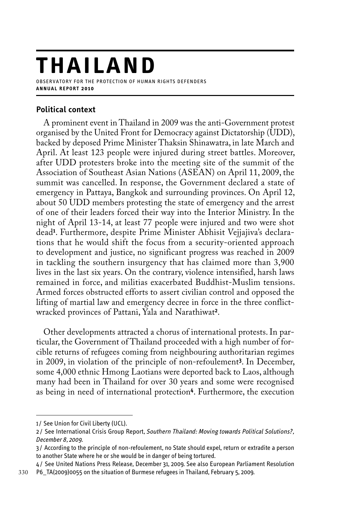# **T H A ILAND**

observatory for the protection of human rights defenders **a n n u a l r e p o r t 2 0 1 0**

# **Political context**

A prominent event in Thailand in 2009 was the anti-Government protest organised by the United Front for Democracy against Dictatorship (UDD), backed by deposed Prime Minister Thaksin Shinawatra, in late March and April. At least 123 people were injured during street battles. Moreover, after UDD protesters broke into the meeting site of the summit of the Association of Southeast Asian Nations (ASEAN) on April 11, 2009, the summit was cancelled. In response, the Government declared a state of emergency in Pattaya, Bangkok and surrounding provinces. On April 12, about 50 UDD members protesting the state of emergency and the arrest of one of their leaders forced their way into the Interior Ministry. In the night of April 13-14, at least 77 people were injured and two were shot dead**<sup>1</sup>** . Furthermore, despite Prime Minister Abhisit Vejjajiva's declarations that he would shift the focus from a security-oriented approach to development and justice, no significant progress was reached in 2009 in tackling the southern insurgency that has claimed more than 3,900 lives in the last six years. On the contrary, violence intensified, harsh laws remained in force, and militias exacerbated Buddhist-Muslim tensions. Armed forces obstructed efforts to assert civilian control and opposed the lifting of martial law and emergency decree in force in the three conflictwracked provinces of Pattani, Yala and Narathiwat**<sup>2</sup>**.

Other developments attracted a chorus of international protests. In particular, the Government of Thailand proceeded with a high number of forcible returns of refugees coming from neighbouring authoritarian regimes in 2009, in violation of the principle of non-refoulement**<sup>3</sup>**. In December, some 4,000 ethnic Hmong Laotians were deported back to Laos, although many had been in Thailand for over 30 years and some were recognised as being in need of international protection**<sup>4</sup>**. Furthermore, the execution

<sup>1/</sup> See Union for Civil Liberty (UCL).

<sup>2</sup> / See International Crisis Group Report, *Southern Thailand: Moving towards Political Solutions?, December 8, 2009.*

<sup>3</sup> / According to the principle of non-refoulement, no State should expel, return or extradite a person to another State where he or she would be in danger of being tortured.

<sup>4</sup> / See United Nations Press Release, December 31, 2009. See also European Parliament Resolution P6\_TA(2009)0055 on the situation of Burmese refugees in Thailand, February 5, 2009.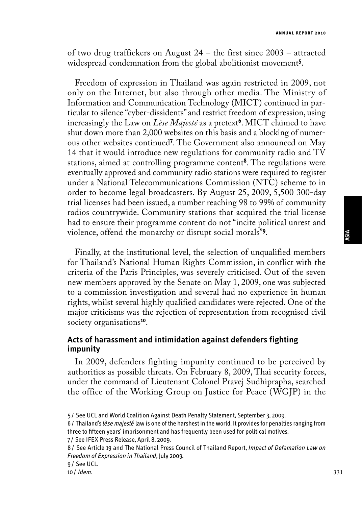of two drug traffickers on August 24 – the first since 2003 – attracted widespread condemnation from the global abolitionist movement**<sup>5</sup>**.

Freedom of expression in Thailand was again restricted in 2009, not only on the Internet, but also through other media. The Ministry of Information and Communication Technology (MICT) continued in particular to silence "cyber-dissidents" and restrict freedom of expression, using increasingly the Law on *Lèse Majesté* as a pretext**<sup>6</sup>**. MICT claimed to have shut down more than 2,000 websites on this basis and a blocking of numerous other websites continued**<sup>7</sup>** . The Government also announced on May 14 that it would introduce new regulations for community radio and  $\overline{\text{TV}}$ stations, aimed at controlling programme content**<sup>8</sup>**. The regulations were eventually approved and community radio stations were required to register under a National Telecommunications Commission (NTC) scheme to in order to become legal broadcasters. By August 25, 2009, 5,500 300-day trial licenses had been issued, a number reaching 98 to 99% of community radios countrywide. Community stations that acquired the trial license had to ensure their programme content do not "incite political unrest and violence, offend the monarchy or disrupt social morals"**<sup>9</sup>**.

Finally, at the institutional level, the selection of unqualified members for Thailand's National Human Rights Commission, in conflict with the criteria of the Paris Principles, was severely criticised. Out of the seven new members approved by the Senate on May 1, 2009, one was subjected to a commission investigation and several had no experience in human rights, whilst several highly qualified candidates were rejected. One of the major criticisms was the rejection of representation from recognised civil society organisations**<sup>10</sup>**.

### **Acts of harassment and intimidation against defenders fighting impunity**

In 2009, defenders fighting impunity continued to be perceived by authorities as possible threats. On February 8, 2009, Thai security forces, under the command of Lieutenant Colonel Pravej Sudhiprapha, searched the office of the Working Group on Justice for Peace (WGJP) in the

7/ See IFEX Press Release, April 8, 2009.

331

<sup>5</sup> / See UCL and World Coalition Against Death Penalty Statement, September 3, 2009.

<sup>6</sup> / Thailand's *lèse majesté* law is one of the harshest in the world. It provides for penalties ranging from three to fifteen years' imprisonment and has frequently been used for political motives.

<sup>8</sup> / See Article 19 and The National Press Council of Thailand Report, *Impact of Defamation Law on Freedom of Expression in Thailand*, July 2009.

<sup>9</sup> / See UCL.

<sup>10</sup> / *Idem.*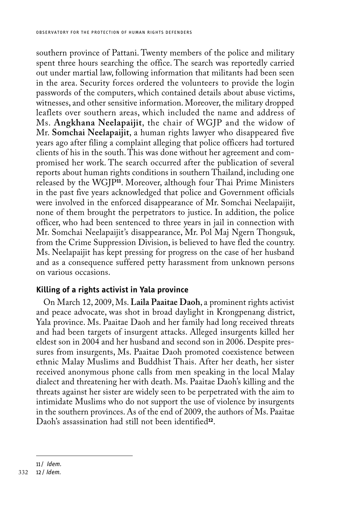southern province of Pattani. Twenty members of the police and military spent three hours searching the office. The search was reportedly carried out under martial law, following information that militants had been seen in the area. Security forces ordered the volunteers to provide the login passwords of the computers, which contained details about abuse victims, witnesses, and other sensitive information. Moreover, the military dropped leaflets over southern areas, which included the name and address of Ms. **Angkhana Neelapaijit**, the chair of WGJP and the widow of Mr. **Somchai Neelapaijit**, a human rights lawyer who disappeared five years ago after filing a complaint alleging that police officers had tortured clients of his in the south. This was done without her agreement and compromised her work. The search occurred after the publication of several reports about human rights conditions in southern Thailand, including one released by the WGJP**<sup>11</sup>**. Moreover, although four Thai Prime Ministers in the past five years acknowledged that police and Government officials were involved in the enforced disappearance of Mr. Somchai Neelapaijit, none of them brought the perpetrators to justice. In addition, the police officer, who had been sentenced to three years in jail in connection with Mr. Somchai Neelapaijit's disappearance, Mr. Pol Maj Ngern Thongsuk, from the Crime Suppression Division, is believed to have fled the country. Ms. Neelapaijit has kept pressing for progress on the case of her husband and as a consequence suffered petty harassment from unknown persons on various occasions.

#### **Killing of a rights activist in Yala province**

On March 12, 2009, Ms. **Laila Paaitae Daoh**, a prominent rights activist and peace advocate, was shot in broad daylight in Krongpenang district, Yala province. Ms. Paaitae Daoh and her family had long received threats and had been targets of insurgent attacks. Alleged insurgents killed her eldest son in 2004 and her husband and second son in 2006. Despite pressures from insurgents, Ms. Paaitae Daoh promoted coexistence between ethnic Malay Muslims and Buddhist Thais. After her death, her sister received anonymous phone calls from men speaking in the local Malay dialect and threatening her with death. Ms. Paaitae Daoh's killing and the threats against her sister are widely seen to be perpetrated with the aim to intimidate Muslims who do not support the use of violence by insurgents in the southern provinces. As of the end of 2009, the authors of Ms. Paaitae Daoh's assassination had still not been identified**<sup>12</sup>**.

<sup>11/</sup> *Idem.*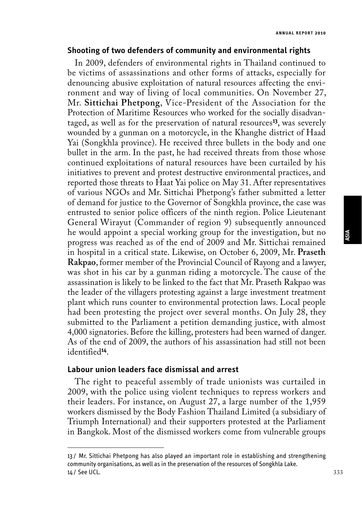#### **Shooting of two defenders of community and environmental rights**

In 2009, defenders of environmental rights in Thailand continued to be victims of assassinations and other forms of attacks, especially for denouncing abusive exploitation of natural resources affecting the environment and way of living of local communities. On November 27, Mr. **Sittichai Phetpong**, Vice-President of the Association for the Protection of Maritime Resources who worked for the socially disadvantaged, as well as for the preservation of natural resources**<sup>13</sup>**, was severely wounded by a gunman on a motorcycle, in the Khanghe district of Haad Yai (Songkhla province). He received three bullets in the body and one bullet in the arm. In the past, he had received threats from those whose continued exploitations of natural resources have been curtailed by his initiatives to prevent and protest destructive environmental practices, and reported those threats to Haat Yai police on May 31. After representatives of various NGOs and Mr. Sittichai Phetpong's father submitted a letter of demand for justice to the Governor of Songkhla province, the case was entrusted to senior police officers of the ninth region. Police Lieutenant General Wirayut (Commander of region 9) subsequently announced he would appoint a special working group for the investigation, but no progress was reached as of the end of 2009 and Mr. Sittichai remained in hospital in a critical state. Likewise, on October 6, 2009, Mr. **Praseth Rakpao**, former member of the Provincial Council of Rayong and a lawyer, was shot in his car by a gunman riding a motorcycle. The cause of the assassination is likely to be linked to the fact that Mr. Praseth Rakpao was the leader of the villagers protesting against a large investment treatment plant which runs counter to environmental protection laws. Local people had been protesting the project over several months. On July 28, they submitted to the Parliament a petition demanding justice, with almost 4,000 signatories. Before the killing, protesters had been warned of danger. As of the end of 2009, the authors of his assassination had still not been identified**<sup>14</sup>**.

#### **Labour union leaders face dismissal and arrest**

The right to peaceful assembly of trade unionists was curtailed in 2009, with the police using violent techniques to repress workers and their leaders. For instance, on August 27, a large number of the 1,959 workers dismissed by the Body Fashion Thailand Limited (a subsidiary of Triumph International) and their supporters protested at the Parliament in Bangkok. Most of the dismissed workers come from vulnerable groups

<sup>13</sup> / Mr. Sittichai Phetpong has also played an important role in establishing and strengthening community organisations, as well as in the preservation of the resources of Songkhla Lake. 14 / See UCL.